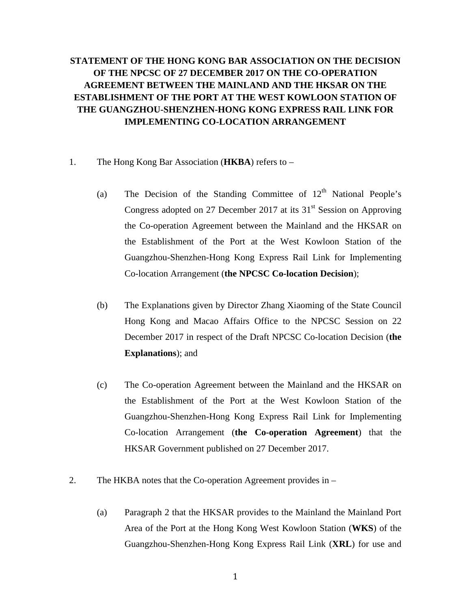## **STATEMENT OF THE HONG KONG BAR ASSOCIATION ON THE DECISION OF THE NPCSC OF 27 DECEMBER 2017 ON THE CO-OPERATION AGREEMENT BETWEEN THE MAINLAND AND THE HKSAR ON THE ESTABLISHMENT OF THE PORT AT THE WEST KOWLOON STATION OF THE GUANGZHOU-SHENZHEN-HONG KONG EXPRESS RAIL LINK FOR IMPLEMENTING CO-LOCATION ARRANGEMENT**

- 1. The Hong Kong Bar Association (**HKBA**) refers to
	- (a) The Decision of the Standing Committee of  $12<sup>th</sup>$  National People's Congress adopted on 27 December 2017 at its  $31<sup>st</sup>$  Session on Approving the Co-operation Agreement between the Mainland and the HKSAR on the Establishment of the Port at the West Kowloon Station of the Guangzhou-Shenzhen-Hong Kong Express Rail Link for Implementing Co-location Arrangement (**the NPCSC Co-location Decision**);
	- (b) The Explanations given by Director Zhang Xiaoming of the State Council Hong Kong and Macao Affairs Office to the NPCSC Session on 22 December 2017 in respect of the Draft NPCSC Co-location Decision (**the Explanations**); and
	- (c) The Co-operation Agreement between the Mainland and the HKSAR on the Establishment of the Port at the West Kowloon Station of the Guangzhou-Shenzhen-Hong Kong Express Rail Link for Implementing Co-location Arrangement (**the Co-operation Agreement**) that the HKSAR Government published on 27 December 2017.
- 2. The HKBA notes that the Co-operation Agreement provides in
	- (a) Paragraph 2 that the HKSAR provides to the Mainland the Mainland Port Area of the Port at the Hong Kong West Kowloon Station (**WKS**) of the Guangzhou-Shenzhen-Hong Kong Express Rail Link (**XRL**) for use and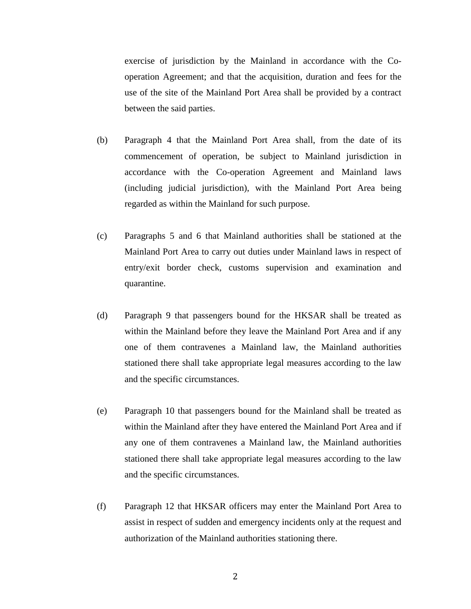exercise of jurisdiction by the Mainland in accordance with the Cooperation Agreement; and that the acquisition, duration and fees for the use of the site of the Mainland Port Area shall be provided by a contract between the said parties.

- (b) Paragraph 4 that the Mainland Port Area shall, from the date of its commencement of operation, be subject to Mainland jurisdiction in accordance with the Co-operation Agreement and Mainland laws (including judicial jurisdiction), with the Mainland Port Area being regarded as within the Mainland for such purpose.
- (c) Paragraphs 5 and 6 that Mainland authorities shall be stationed at the Mainland Port Area to carry out duties under Mainland laws in respect of entry/exit border check, customs supervision and examination and quarantine.
- (d) Paragraph 9 that passengers bound for the HKSAR shall be treated as within the Mainland before they leave the Mainland Port Area and if any one of them contravenes a Mainland law, the Mainland authorities stationed there shall take appropriate legal measures according to the law and the specific circumstances.
- (e) Paragraph 10 that passengers bound for the Mainland shall be treated as within the Mainland after they have entered the Mainland Port Area and if any one of them contravenes a Mainland law, the Mainland authorities stationed there shall take appropriate legal measures according to the law and the specific circumstances.
- (f) Paragraph 12 that HKSAR officers may enter the Mainland Port Area to assist in respect of sudden and emergency incidents only at the request and authorization of the Mainland authorities stationing there.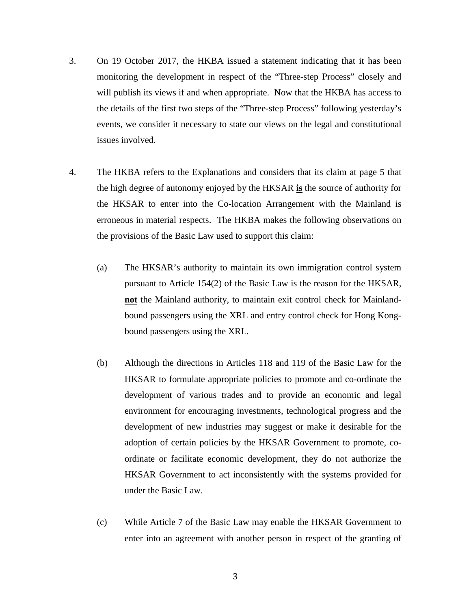- 3. On 19 October 2017, the HKBA issued a statement indicating that it has been monitoring the development in respect of the "Three-step Process" closely and will publish its views if and when appropriate. Now that the HKBA has access to the details of the first two steps of the "Three-step Process" following yesterday's events, we consider it necessary to state our views on the legal and constitutional issues involved.
- 4. The HKBA refers to the Explanations and considers that its claim at page 5 that the high degree of autonomy enjoyed by the HKSAR **is** the source of authority for the HKSAR to enter into the Co-location Arrangement with the Mainland is erroneous in material respects. The HKBA makes the following observations on the provisions of the Basic Law used to support this claim:
	- (a) The HKSAR's authority to maintain its own immigration control system pursuant to Article 154(2) of the Basic Law is the reason for the HKSAR, **not** the Mainland authority, to maintain exit control check for Mainlandbound passengers using the XRL and entry control check for Hong Kongbound passengers using the XRL.
	- (b) Although the directions in Articles 118 and 119 of the Basic Law for the HKSAR to formulate appropriate policies to promote and co-ordinate the development of various trades and to provide an economic and legal environment for encouraging investments, technological progress and the development of new industries may suggest or make it desirable for the adoption of certain policies by the HKSAR Government to promote, coordinate or facilitate economic development, they do not authorize the HKSAR Government to act inconsistently with the systems provided for under the Basic Law.
	- (c) While Article 7 of the Basic Law may enable the HKSAR Government to enter into an agreement with another person in respect of the granting of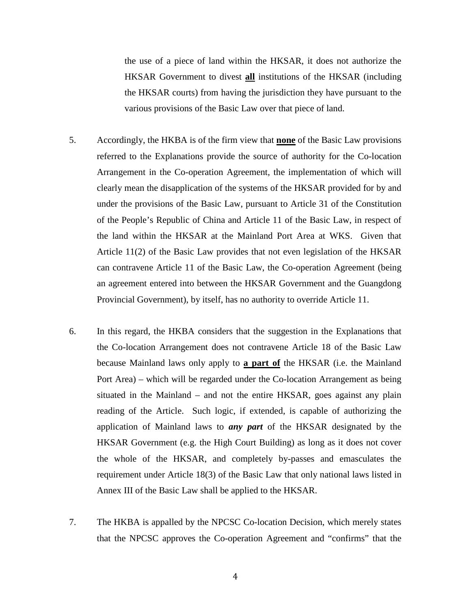the use of a piece of land within the HKSAR, it does not authorize the HKSAR Government to divest **all** institutions of the HKSAR (including the HKSAR courts) from having the jurisdiction they have pursuant to the various provisions of the Basic Law over that piece of land.

- 5. Accordingly, the HKBA is of the firm view that **none** of the Basic Law provisions referred to the Explanations provide the source of authority for the Co-location Arrangement in the Co-operation Agreement, the implementation of which will clearly mean the disapplication of the systems of the HKSAR provided for by and under the provisions of the Basic Law, pursuant to Article 31 of the Constitution of the People's Republic of China and Article 11 of the Basic Law, in respect of the land within the HKSAR at the Mainland Port Area at WKS. Given that Article 11(2) of the Basic Law provides that not even legislation of the HKSAR can contravene Article 11 of the Basic Law, the Co-operation Agreement (being an agreement entered into between the HKSAR Government and the Guangdong Provincial Government), by itself, has no authority to override Article 11.
- 6. In this regard, the HKBA considers that the suggestion in the Explanations that the Co-location Arrangement does not contravene Article 18 of the Basic Law because Mainland laws only apply to **a part of** the HKSAR (i.e. the Mainland Port Area) – which will be regarded under the Co-location Arrangement as being situated in the Mainland – and not the entire HKSAR, goes against any plain reading of the Article. Such logic, if extended, is capable of authorizing the application of Mainland laws to *any part* of the HKSAR designated by the HKSAR Government (e.g. the High Court Building) as long as it does not cover the whole of the HKSAR, and completely by-passes and emasculates the requirement under Article 18(3) of the Basic Law that only national laws listed in Annex III of the Basic Law shall be applied to the HKSAR.
- 7. The HKBA is appalled by the NPCSC Co-location Decision, which merely states that the NPCSC approves the Co-operation Agreement and "confirms" that the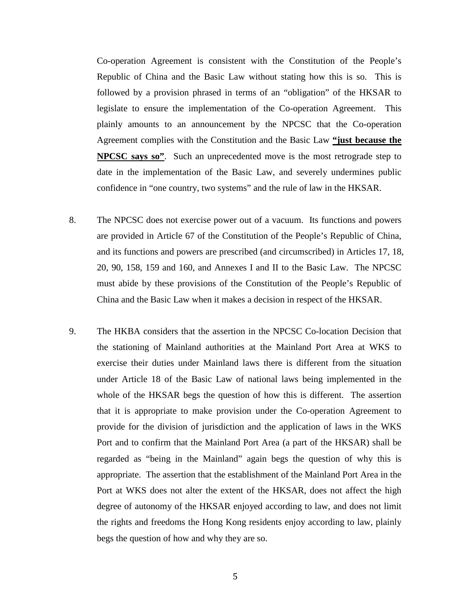Co-operation Agreement is consistent with the Constitution of the People's Republic of China and the Basic Law without stating how this is so. This is followed by a provision phrased in terms of an "obligation" of the HKSAR to legislate to ensure the implementation of the Co-operation Agreement. This plainly amounts to an announcement by the NPCSC that the Co-operation Agreement complies with the Constitution and the Basic Law **"just because the NPCSC says so"**. Such an unprecedented move is the most retrograde step to date in the implementation of the Basic Law, and severely undermines public confidence in "one country, two systems" and the rule of law in the HKSAR.

- 8. The NPCSC does not exercise power out of a vacuum. Its functions and powers are provided in Article 67 of the Constitution of the People's Republic of China, and its functions and powers are prescribed (and circumscribed) in Articles 17, 18, 20, 90, 158, 159 and 160, and Annexes I and II to the Basic Law. The NPCSC must abide by these provisions of the Constitution of the People's Republic of China and the Basic Law when it makes a decision in respect of the HKSAR.
- 9. The HKBA considers that the assertion in the NPCSC Co-location Decision that the stationing of Mainland authorities at the Mainland Port Area at WKS to exercise their duties under Mainland laws there is different from the situation under Article 18 of the Basic Law of national laws being implemented in the whole of the HKSAR begs the question of how this is different. The assertion that it is appropriate to make provision under the Co-operation Agreement to provide for the division of jurisdiction and the application of laws in the WKS Port and to confirm that the Mainland Port Area (a part of the HKSAR) shall be regarded as "being in the Mainland" again begs the question of why this is appropriate. The assertion that the establishment of the Mainland Port Area in the Port at WKS does not alter the extent of the HKSAR, does not affect the high degree of autonomy of the HKSAR enjoyed according to law, and does not limit the rights and freedoms the Hong Kong residents enjoy according to law, plainly begs the question of how and why they are so.